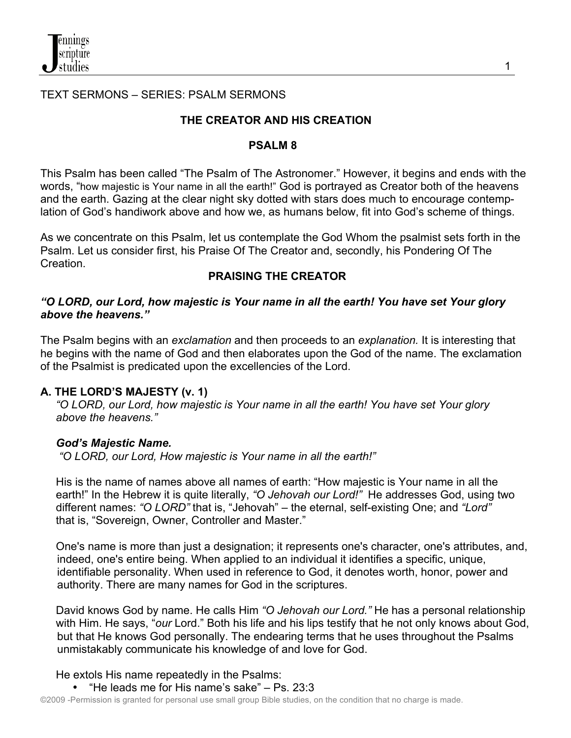#### TEXT SERMONS – SERIES: PSALM SERMONS

## **THE CREATOR AND HIS CREATION**

#### **PSALM 8**

This Psalm has been called "The Psalm of The Astronomer." However, it begins and ends with the words, "how majestic is Your name in all the earth!" God is portrayed as Creator both of the heavens and the earth. Gazing at the clear night sky dotted with stars does much to encourage contemplation of God's handiwork above and how we, as humans below, fit into God's scheme of things.

As we concentrate on this Psalm, let us contemplate the God Whom the psalmist sets forth in the Psalm. Let us consider first, his Praise Of The Creator and, secondly, his Pondering Of The **Creation** 

#### **PRAISING THE CREATOR**

#### *"O LORD, our Lord, how majestic is Your name in all the earth! You have set Your glory above the heavens."*

The Psalm begins with an *exclamation* and then proceeds to an *explanation.* It is interesting that he begins with the name of God and then elaborates upon the God of the name. The exclamation of the Psalmist is predicated upon the excellencies of the Lord.

#### **A. THE LORD'S MAJESTY (v. 1)**

 *"O LORD, our Lord, how majestic is Your name in all the earth! You have set Your glory above the heavens."*

## *God's Majestic Name.*

*"O LORD, our Lord, How majestic is Your name in all the earth!"*

His is the name of names above all names of earth: "How majestic is Your name in all the earth!" In the Hebrew it is quite literally, *"O Jehovah our Lord!"* He addresses God, using two different names: *"O LORD"* that is, "Jehovah" – the eternal, self-existing One; and *"Lord"* that is, "Sovereign, Owner, Controller and Master."

 One's name is more than just a designation; it represents one's character, one's attributes, and, indeed, one's entire being. When applied to an individual it identifies a specific, unique, identifiable personality. When used in reference to God, it denotes worth, honor, power and authority. There are many names for God in the scriptures.

 David knows God by name. He calls Him *"O Jehovah our Lord."* He has a personal relationship with Him. He says, "*our* Lord." Both his life and his lips testify that he not only knows about God, but that He knows God personally. The endearing terms that he uses throughout the Psalms unmistakably communicate his knowledge of and love for God.

He extols His name repeatedly in the Psalms:

• "He leads me for His name's sake" – Ps. 23:3

©2009 -Permission is granted for personal use small group Bible studies, on the condition that no charge is made.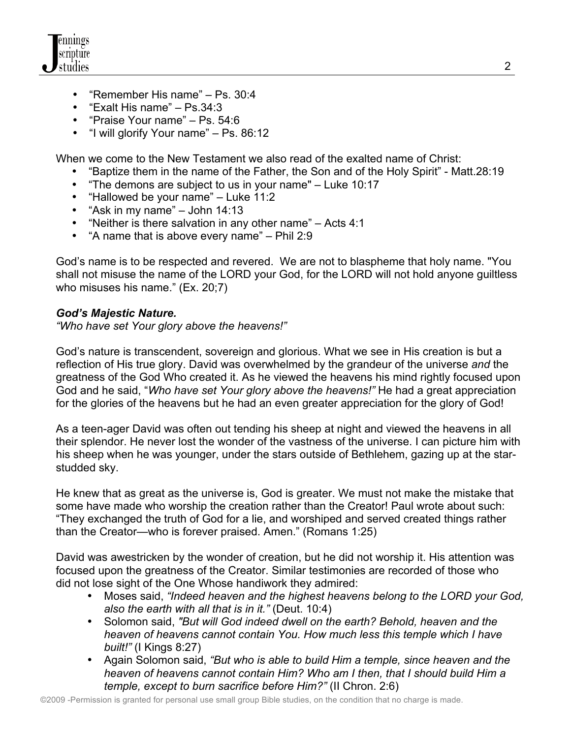

- "Remember His name" Ps. 30:4
- "Exalt His name" Ps.34:3
- "Praise Your name" Ps. 54:6
- "I will glorify Your name" Ps. 86:12

When we come to the New Testament we also read of the exalted name of Christ:

- "Baptize them in the name of the Father, the Son and of the Holy Spirit" Matt.28:19
- "The demons are subject to us in your name" Luke 10:17
- "Hallowed be your name" Luke 11:2
- "Ask in my name" John 14:13
- "Neither is there salvation in any other name" Acts 4:1
- "A name that is above every name" Phil 2:9

 God's name is to be respected and revered. We are not to blaspheme that holy name. "You shall not misuse the name of the LORD your God, for the LORD will not hold anyone guiltless who misuses his name." (Ex. 20;7)

#### *God's Majestic Nature.*

*"Who have set Your glory above the heavens!"*

God's nature is transcendent, sovereign and glorious. What we see in His creation is but a reflection of His true glory. David was overwhelmed by the grandeur of the universe *and* the greatness of the God Who created it. As he viewed the heavens his mind rightly focused upon God and he said, "*Who have set Your glory above the heavens!"* He had a great appreciation for the glories of the heavens but he had an even greater appreciation for the glory of God!

As a teen-ager David was often out tending his sheep at night and viewed the heavens in all their splendor. He never lost the wonder of the vastness of the universe. I can picture him with his sheep when he was younger, under the stars outside of Bethlehem, gazing up at the star studded sky.

 He knew that as great as the universe is, God is greater. We must not make the mistake that some have made who worship the creation rather than the Creator! Paul wrote about such: "They exchanged the truth of God for a lie, and worshiped and served created things rather than the Creator—who is forever praised. Amen." (Romans 1:25)

 David was awestricken by the wonder of creation, but he did not worship it. His attention was focused upon the greatness of the Creator. Similar testimonies are recorded of those who did not lose sight of the One Whose handiwork they admired:

- Moses said, *"Indeed heaven and the highest heavens belong to the LORD your God, also the earth with all that is in it."* (Deut. 10:4)
- Solomon said, *"But will God indeed dwell on the earth? Behold, heaven and the heaven of heavens cannot contain You. How much less this temple which I have built!"* (I Kings 8:27)
- Again Solomon said, *"But who is able to build Him a temple, since heaven and the heaven of heavens cannot contain Him? Who am I then, that I should build Him a temple, except to burn sacrifice before Him?"* (II Chron. 2:6)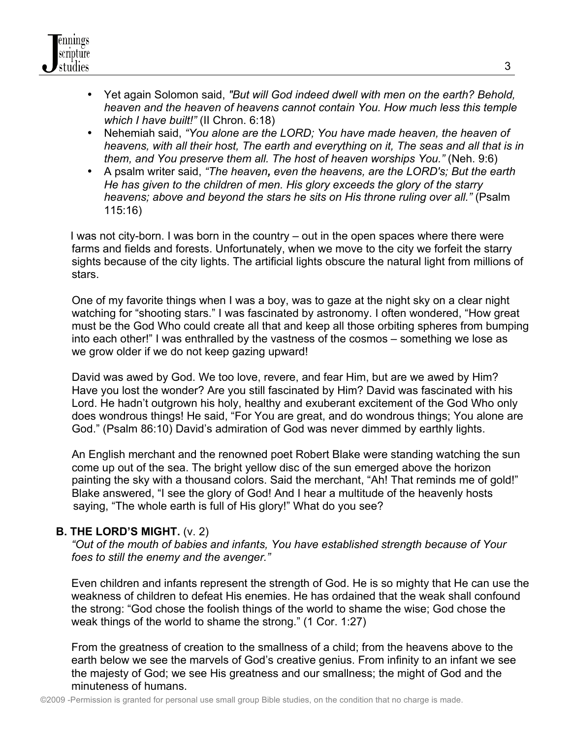- Yet again Solomon said, *"But will God indeed dwell with men on the earth? Behold, heaven and the heaven of heavens cannot contain You. How much less this temple which I have built!"* (II Chron. 6:18)
- Nehemiah said, *"You alone are the LORD; You have made heaven, the heaven of heavens, with all their host, The earth and everything on it, The seas and all that is in them, and You preserve them all. The host of heaven worships You."* (Neh. 9:6)
- A psalm writer said, *"The heaven, even the heavens, are the LORD's; But the earth He has given to the children of men. His glory exceeds the glory of the starry heavens; above and beyond the stars he sits on His throne ruling over all."* (Psalm 115:16)

 I was not city-born. I was born in the country – out in the open spaces where there were farms and fields and forests. Unfortunately, when we move to the city we forfeit the starry sights because of the city lights. The artificial lights obscure the natural light from millions of stars.

 One of my favorite things when I was a boy, was to gaze at the night sky on a clear night watching for "shooting stars." I was fascinated by astronomy. I often wondered, "How great must be the God Who could create all that and keep all those orbiting spheres from bumping into each other!" I was enthralled by the vastness of the cosmos – something we lose as we grow older if we do not keep gazing upward!

 David was awed by God. We too love, revere, and fear Him, but are we awed by Him? Have you lost the wonder? Are you still fascinated by Him? David was fascinated with his Lord. He hadn't outgrown his holy, healthy and exuberant excitement of the God Who only does wondrous things! He said, "For You are great, and do wondrous things; You alone are God." (Psalm 86:10) David's admiration of God was never dimmed by earthly lights.

 An English merchant and the renowned poet Robert Blake were standing watching the sun come up out of the sea. The bright yellow disc of the sun emerged above the horizon painting the sky with a thousand colors. Said the merchant, "Ah! That reminds me of gold!" Blake answered, "I see the glory of God! And I hear a multitude of the heavenly hosts saying, "The whole earth is full of His glory!" What do you see?

## **B. THE LORD'S MIGHT.** (v. 2)

 *"Out of the mouth of babies and infants, You have established strength because of Your foes to still the enemy and the avenger."*

 Even children and infants represent the strength of God. He is so mighty that He can use the weakness of children to defeat His enemies. He has ordained that the weak shall confound the strong: "God chose the foolish things of the world to shame the wise; God chose the weak things of the world to shame the strong." (1 Cor. 1:27)

 From the greatness of creation to the smallness of a child; from the heavens above to the earth below we see the marvels of God's creative genius. From infinity to an infant we see the majesty of God; we see His greatness and our smallness; the might of God and the minuteness of humans.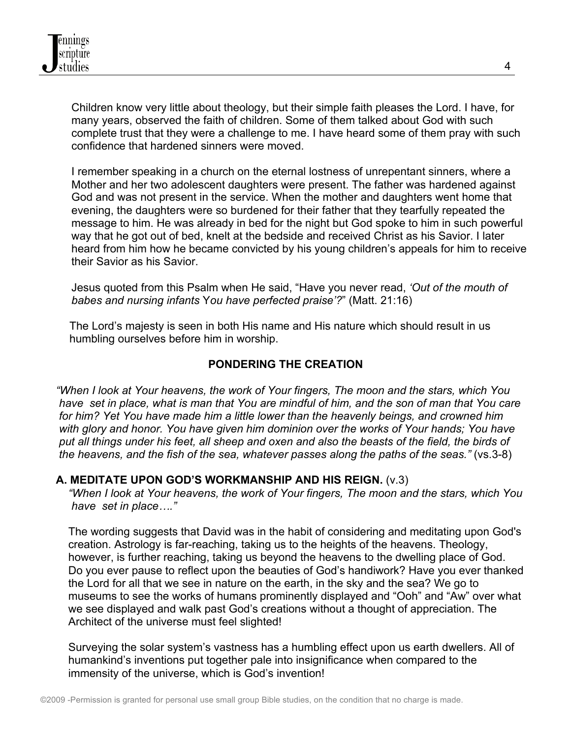Children know very little about theology, but their simple faith pleases the Lord. I have, for many years, observed the faith of children. Some of them talked about God with such complete trust that they were a challenge to me. I have heard some of them pray with such confidence that hardened sinners were moved.

 I remember speaking in a church on the eternal lostness of unrepentant sinners, where a Mother and her two adolescent daughters were present. The father was hardened against God and was not present in the service. When the mother and daughters went home that evening, the daughters were so burdened for their father that they tearfully repeated the message to him. He was already in bed for the night but God spoke to him in such powerful way that he got out of bed, knelt at the bedside and received Christ as his Savior. I later heard from him how he became convicted by his young children's appeals for him to receive their Savior as his Savior.

 Jesus quoted from this Psalm when He said, "Have you never read, *'Out of the mouth of babes and nursing infants* Y*ou have perfected praise'?*" (Matt. 21:16)

The Lord's majesty is seen in both His name and His nature which should result in us humbling ourselves before him in worship.

#### **PONDERING THE CREATION**

 *"When I look at Your heavens, the work of Your fingers, The moon and the stars, which You have set in place, what is man that You are mindful of him, and the son of man that You care for him? Yet You have made him a little lower than the heavenly beings, and crowned him with glory and honor. You have given him dominion over the works of Your hands; You have put all things under his feet, all sheep and oxen and also the beasts of the field, the birds of the heavens, and the fish of the sea, whatever passes along the paths of the seas."* (vs.3-8)

#### **A. MEDITATE UPON GOD'S WORKMANSHIP AND HIS REIGN.** (v.3)

 *"When I look at Your heavens, the work of Your fingers, The moon and the stars, which You have set in place…."*

 The wording suggests that David was in the habit of considering and meditating upon God's creation. Astrology is far-reaching, taking us to the heights of the heavens. Theology, however, is further reaching, taking us beyond the heavens to the dwelling place of God. Do you ever pause to reflect upon the beauties of God's handiwork? Have you ever thanked the Lord for all that we see in nature on the earth, in the sky and the sea? We go to museums to see the works of humans prominently displayed and "Ooh" and "Aw" over what we see displayed and walk past God's creations without a thought of appreciation. The Architect of the universe must feel slighted!

 Surveying the solar system's vastness has a humbling effect upon us earth dwellers. All of humankind's inventions put together pale into insignificance when compared to the immensity of the universe, which is God's invention!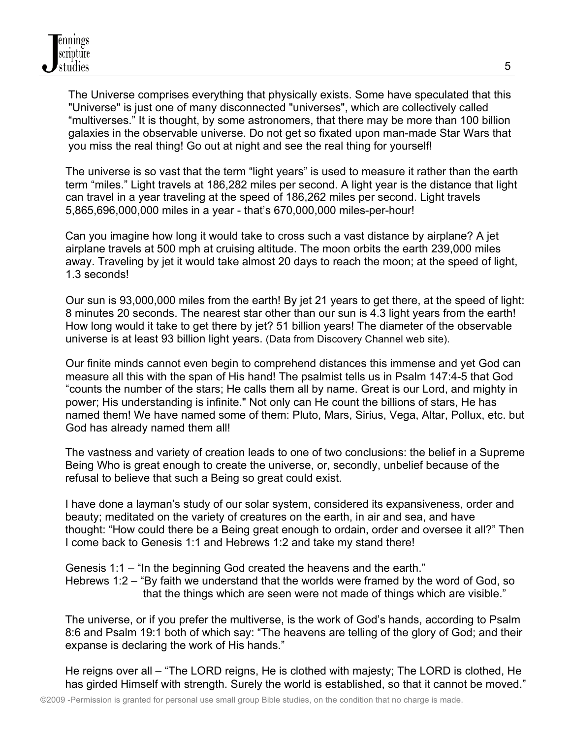The Universe comprises everything that physically exists. Some have speculated that this "Universe" is just one of many disconnected "universes", which are collectively called "multiverses." It is thought, by some astronomers, that there may be more than 100 billion galaxies in the observable universe. Do not get so fixated upon man-made Star Wars that you miss the real thing! Go out at night and see the real thing for yourself!

The universe is so vast that the term "light years" is used to measure it rather than the earth term "miles." Light travels at 186,282 miles per second. A light year is the distance that light can travel in a year traveling at the speed of 186,262 miles per second. Light travels 5,865,696,000,000 miles in a year - that's 670,000,000 miles-per-hour!

 Can you imagine how long it would take to cross such a vast distance by airplane? A jet airplane travels at 500 mph at cruising altitude. The moon orbits the earth 239,000 miles away. Traveling by jet it would take almost 20 days to reach the moon; at the speed of light, 1.3 seconds!

Our sun is 93,000,000 miles from the earth! By jet 21 years to get there, at the speed of light: 8 minutes 20 seconds. The nearest star other than our sun is 4.3 light years from the earth! How long would it take to get there by jet? 51 billion years! The diameter of the observable universe is at least 93 billion light years. (Data from Discovery Channel web site).

Our finite minds cannot even begin to comprehend distances this immense and yet God can measure all this with the span of His hand! The psalmist tells us in Psalm 147:4-5 that God "counts the number of the stars; He calls them all by name. Great is our Lord, and mighty in power; His understanding is infinite." Not only can He count the billions of stars, He has named them! We have named some of them: Pluto, Mars, Sirius, Vega, Altar, Pollux, etc. but God has already named them all!

 The vastness and variety of creation leads to one of two conclusions: the belief in a Supreme Being Who is great enough to create the universe, or, secondly, unbelief because of the refusal to believe that such a Being so great could exist.

 I have done a layman's study of our solar system, considered its expansiveness, order and beauty; meditated on the variety of creatures on the earth, in air and sea, and have thought: "How could there be a Being great enough to ordain, order and oversee it all?" Then I come back to Genesis 1:1 and Hebrews 1:2 and take my stand there!

 Genesis 1:1 – "In the beginning God created the heavens and the earth." Hebrews 1:2 – "By faith we understand that the worlds were framed by the word of God, so that the things which are seen were not made of things which are visible."

 The universe, or if you prefer the multiverse, is the work of God's hands, according to Psalm 8:6 and Psalm 19:1 both of which say: "The heavens are telling of the glory of God; and their expanse is declaring the work of His hands."

 He reigns over all – "The LORD reigns, He is clothed with majesty; The LORD is clothed, He has girded Himself with strength. Surely the world is established, so that it cannot be moved."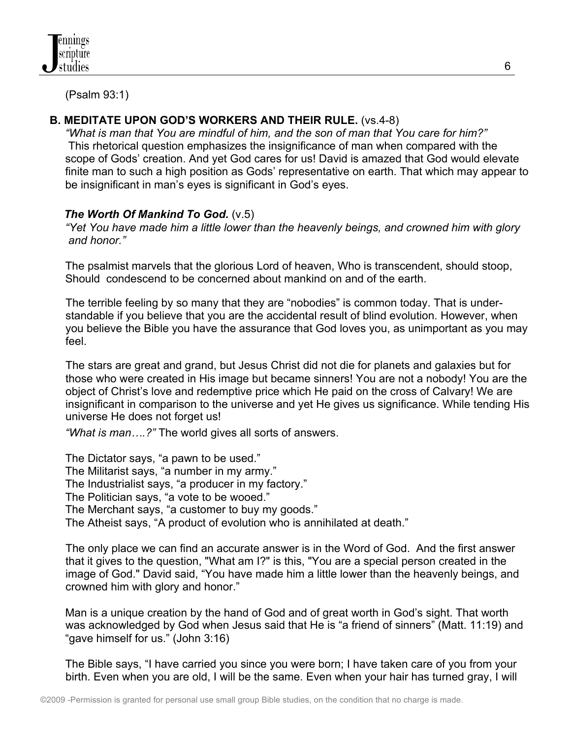(Psalm 93:1)

# **B. MEDITATE UPON GOD'S WORKERS AND THEIR RULE.** (vs.4-8)

 *"What is man that You are mindful of him, and the son of man that You care for him?"* This rhetorical question emphasizes the insignificance of man when compared with the scope of Gods' creation. And yet God cares for us! David is amazed that God would elevate finite man to such a high position as Gods' representative on earth. That which may appear to be insignificant in man's eyes is significant in God's eyes.

## *The Worth Of Mankind To God.* (v.5)

 *"Yet You have made him a little lower than the heavenly beings, and crowned him with glory and honor."* 

 The psalmist marvels that the glorious Lord of heaven, Who is transcendent, should stoop, Should condescend to be concerned about mankind on and of the earth.

The terrible feeling by so many that they are "nobodies" is common today. That is understandable if you believe that you are the accidental result of blind evolution. However, when you believe the Bible you have the assurance that God loves you, as unimportant as you may feel.

The stars are great and grand, but Jesus Christ did not die for planets and galaxies but for those who were created in His image but became sinners! You are not a nobody! You are the object of Christ's love and redemptive price which He paid on the cross of Calvary! We are insignificant in comparison to the universe and yet He gives us significance. While tending His universe He does not forget us!

*"What is man….?"* The world gives all sorts of answers.

 The Dictator says, "a pawn to be used." The Militarist says, "a number in my army." The Industrialist says, "a producer in my factory." The Politician says, "a vote to be wooed." The Merchant says, "a customer to buy my goods." The Atheist says, "A product of evolution who is annihilated at death."

The only place we can find an accurate answer is in the Word of God. And the first answer that it gives to the question, "What am I?" is this, "You are a special person created in the image of God." David said, "You have made him a little lower than the heavenly beings, and crowned him with glory and honor."

 Man is a unique creation by the hand of God and of great worth in God's sight. That worth was acknowledged by God when Jesus said that He is "a friend of sinners" (Matt. 11:19) and "gave himself for us." (John 3:16)

 The Bible says, "I have carried you since you were born; I have taken care of you from your birth. Even when you are old, I will be the same. Even when your hair has turned gray, I will